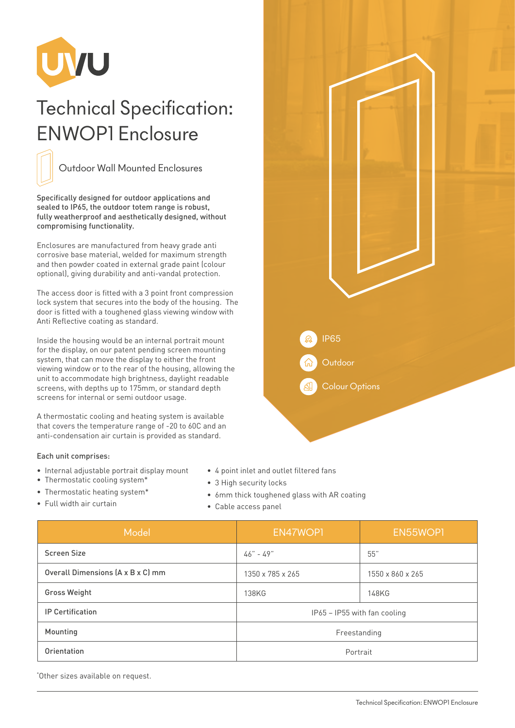

## Technical Specification: ENWOP1 Enclosure



Specifically designed for outdoor applications and sealed to IP65, the outdoor totem range is robust, fully weatherproof and aesthetically designed, without compromising functionality.

Enclosures are manufactured from heavy grade anti corrosive base material, welded for maximum strength and then powder coated in external grade paint (colour optional), giving durability and anti-vandal protection.

The access door is fitted with a 3 point front compression lock system that secures into the body of the housing. The door is fitted with a toughened glass viewing window with Anti Reflective coating as standard.

Inside the housing would be an internal portrait mount for the display, on our patent pending screen mounting system, that can move the display to either the front viewing window or to the rear of the housing, allowing the unit to accommodate high brightness, daylight readable screens, with depths up to 175mm, or standard depth screens for internal or semi outdoor usage.

A thermostatic cooling and heating system is available that covers the temperature range of -20 to 60C and an anti-condensation air curtain is provided as standard.

## Each unit comprises:

- Internal adjustable portrait display mount
- 4 point inlet and outlet filtered fans • 3 High security locks
- Thermostatic cooling system\* • Thermostatic heating system\*
- 6mm thick toughened glass with AR coating

• Full width air curtain

• Cable access panel

| Model                             | EN47WOP1                     | EN55WOP1         |
|-----------------------------------|------------------------------|------------------|
| <b>Screen Size</b>                | $46" - 49"$                  | 55"              |
| Overall Dimensions (A x B x C) mm | 1350 x 785 x 265             | 1550 x 860 x 265 |
| Gross Weight                      | 138KG                        | 148KG            |
| <b>IP Certification</b>           | IP65 - IP55 with fan cooling |                  |
| Mounting                          | Freestanding                 |                  |
| Orientation                       | Portrait                     |                  |

\* Other sizes available on request.

**Outdoor** IP65 Colour Options